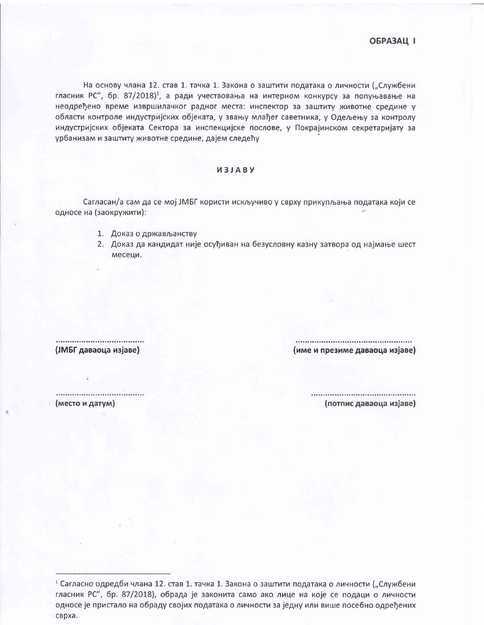На основу члана 12. став 1. тачка 1. Закона о заштити података о личности ("Службени гласник РС", бр. 87/2018)<sup>1</sup>, а ради учествовања на интерном конкурсу за попуњавање на неодређено време извршилачког радног места: инспектор за заштиту животне средине у области контроле индустријских објеката, у звању млађег саветника, у Одељењу за контролу индустријских објеката Сектора за инспекцијске послове, у Покрајинском секретаријату за урбанизам и заштиту животне средине, дајем следећу

## *M3JABY*

Сагласан/а сам да се мој ЈМБГ користи искључиво у сврху прикупљања података који се односе на (заокружити):

- 1. Доказ о држављанству
- 2. Доказ да кандидат није осуђиван на безусловну казну затвора од најмање шест месеци.

## (ЈМБГ даваоца изјаве)

(име и презиме даваоца изјаве)

..................................... (место и датум)

..................................... (потпис даваоца изјаве)

<sup>1</sup> Сагласно одредби члана 12. став 1. тачка 1. Закона о заштити података о личности ("Службени гласник РС", бр. 87/2018), обрада је законита само ако лице на које се подаци о личности односе је пристало на обраду својих података о личности за једну или више посебно одређених сврха.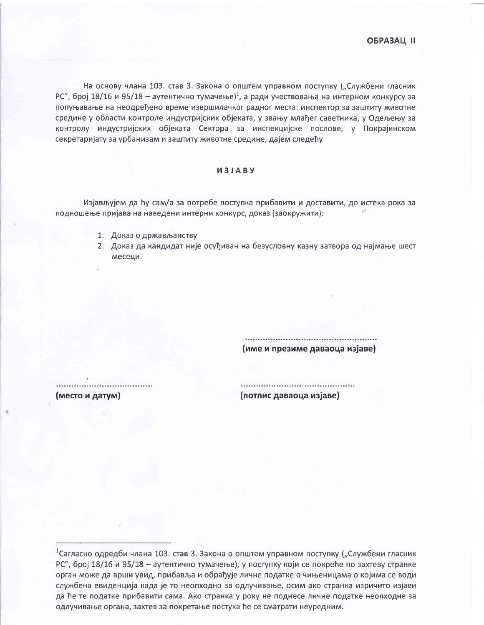На основу члана 103. став 3. Закона о општем управном поступку ("Службени гласник РС", број 18/16 и 95/18 - аутентично тумачење)<sup>1</sup>, а ради учествовања на интерном конкурсу за попуњавање на неодређено време извршилачког радног места: инспектор за заштиту животне средине у области контроле индустријских објеката, у звању млађег саветника, у Одељењу за контролу индустријских објеката Сектора за инспекцијске послове, у Покрајинском секретаријату за урбанизам и заштиту животне средине, дајем следећу

## *M***3JABY**

Изјављујем да ћу сам/а за потребе поступка прибавити и доставити, до истека рока за подношење пријава на наведени интерни конкурс, доказ (заокружити):

- 1. Доказ о држављанству
- 2. Доказ да кандидат није осуђиван на безусловну казну затвора од најмање шест месеци.

(име и презиме даваоца изјаве)

(место и датум)

(потпис даваоца изјаве)

 $^1$ Сагласно одредби члана 103. став 3. Закона о општем управном поступку ("Службени гласник РС", број 18/16 и 95/18 - аутентично тумачење), у поступку који се покреће по захтеву странке орган може да врши увид, прибавља и обрађује личне податке о чињеницама о којима се води службена евиденција када је то неопходно за одлучивање, осим ако странка изричито изјави да ће те податке прибавити сама. Ако странка у року не поднесе личне податке неопходне за одлучивање органа, захтев за покретање постука ће се сматрати неуредним.